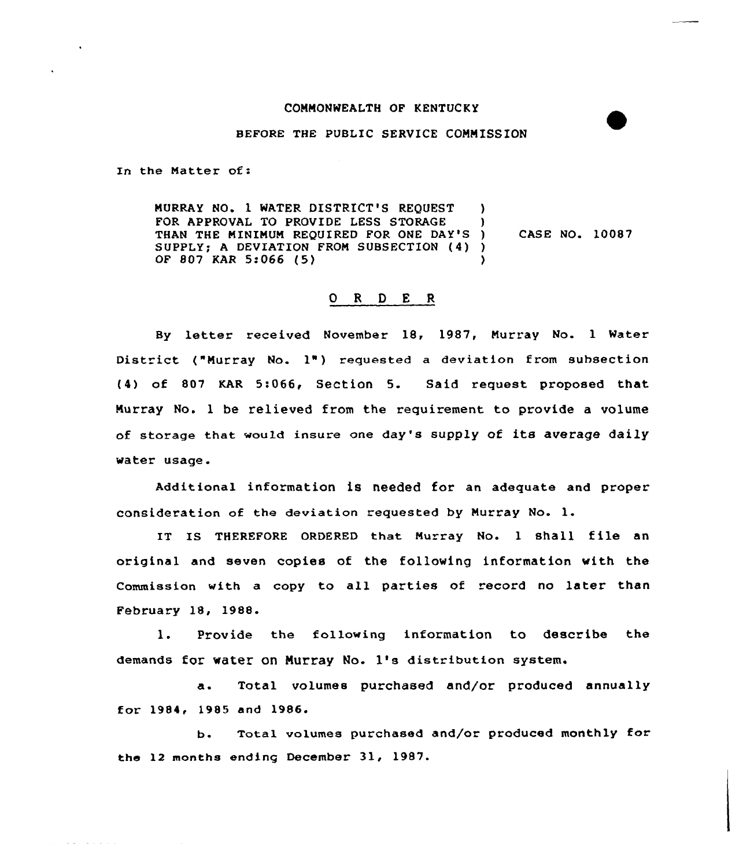## COMMONWEALTH OF KENTUCKY

## BEFORE THE PUBLIC SERVICE COMMISSION

In the Matter of:

 $\mathcal{L}^{\mathcal{A}}$  , where  $\mathcal{L}^{\mathcal{A}}$  is the set of  $\mathcal{L}^{\mathcal{A}}$ 

MURRAY NO. 1 WATER DISTRICT'S REQUEST ) FOR APPROVAL TO PROVIDE LESS STORAGE ) THAN THE MINIMUM REQUIRED FOR ONE DAY'S ) SUPPLY; <sup>A</sup> DEVIATION FROM SUBSECTION (4) ) OF 807 KAR 5:066 (5) ) CASE NO. 10087

## 0 <sup>R</sup> <sup>D</sup> E <sup>R</sup>

By letter received November 18, 1987, Murray No. <sup>1</sup> Water District ("Murray No.  $1$ ") requested a deviation from subsection (4) of 807 KAR 5:066, Section 5. Said request proposed that Murray No. 1 be relieved from the requirement to provide a volume of storage that would insure one day's supply of its average daily water usage.

Additional information is needed for an adequate and proper consideration of the deviation requested by Murray No. l.

IT Is THEREFQRE 0RDERED that Murray No. <sup>1</sup> shall file an original and seven copies of the following information with the Commission with a copy to all parties of record no later than February 18, 1988.

1. Provide the following information to describe the demands for water on MUrray No. 1's distribution system.

a. Total volumes purchased and/or produced annually for 1984< 1985 and 1986.

b. Total volumes purchased and/or produced monthly for the 12 months ending December 31, 1987.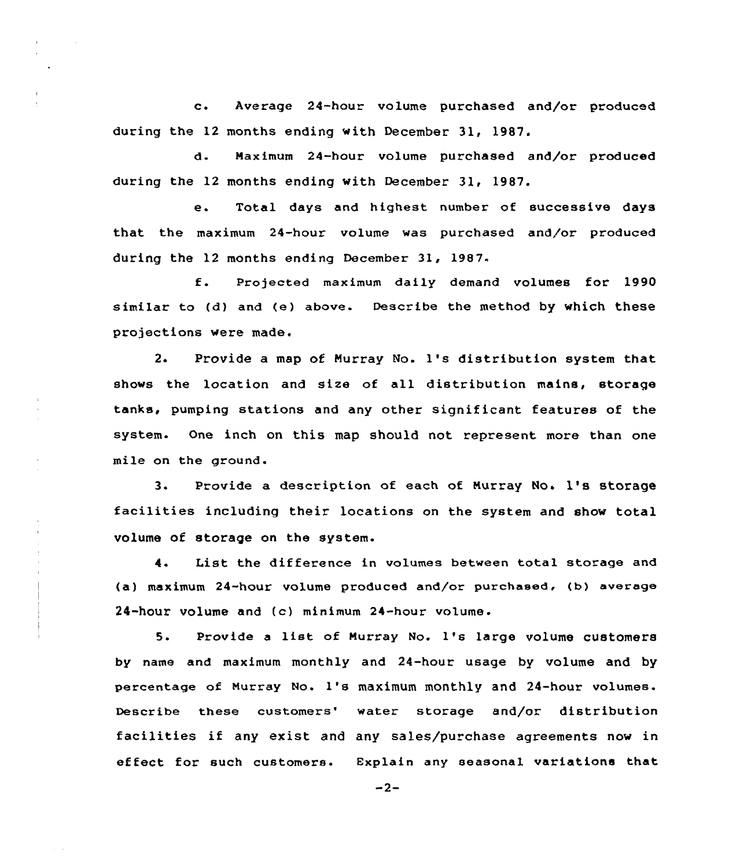c. Average 24-hour volume purchased and/or produced during the 12 months ending with December 31, 1987.

d. Maximum 24-hour volume purchased and/or produced during the 12 months ending with December 31, 1987.

e. Total days and highest number of successive days that the maximum 24-hour volume was purchased and/or produced during the 12 months ending December 3l, 1987.

f. Projected maximum daily demand volumes for <sup>1990</sup> similar to (d) and (e) above. Describe the method by which these projections were made.

2. Provide <sup>a</sup> map of Murray No. 1's distribution system that shows the location and size of all distribution mains, storage tanks, pumping stations and any other significant features of the system. One inch on this map should not represent more than one mile on the ground.

3. Provide a description of each of Murray No. 1's storage facilities including their locations on the system and show total volume of storage on the system.

4. List the difference in volumes between total storage and (a) maximum 24-hour volume produced and/or purchased, (b) average 24-hour volume and (c) minimum 24-hour volume.

5. Provide <sup>a</sup> list of Murray No. 1's large volume customers by name and maximum monthly and 24-hour usage by volume and by percentage of Murray No. 1's maximum monthly and 24-hour volumes. Describe these customers' water storage and/or distribution facilities if any exist and any sales/purchase agreements now in effect for such customers. Explain any seasonal variations that

 $-2-$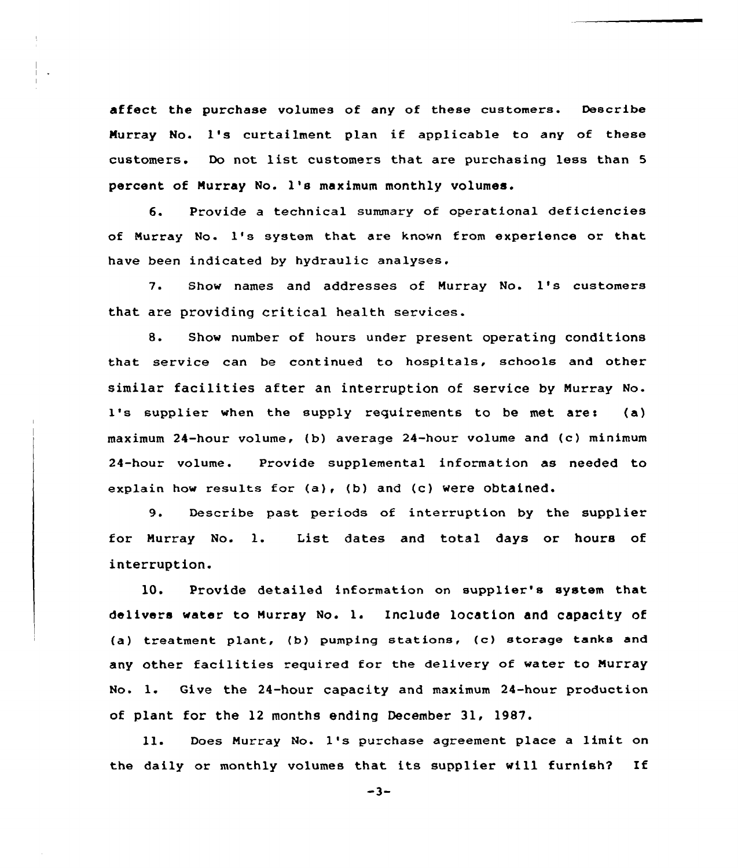affect the purchase volumes of any of these customers. Describe Murray No. 1's curtailment plan if applicable to any of these customers. Do not list customers that are purchasing less than <sup>5</sup> percent of Murray No. 1's maximum monthly volumes.

6. Provide a technical summary of operational deficiencies of Murray No- 1's system that are known from experience or that have been indicated by hydraulic analyses.

7. Show names and addresses of Murray No. 1's customers that are providing critical health services.

8. Show number of hours under present operating conditions that service can be continued to hospitals, schools and other similar facilities after an interruption of service by Murray No-1's supplier when the supply requirements to be met are: (a) maximum 24-hour volume, (b) average 24-hour volume and (c) minimum 24-hour volume. Provide supplemental information as needed to explain how results for  $(a)$ ,  $(b)$  and  $(c)$  were obtained.

9. Describe past periods of interruption by the supplier for Murray No. 1. List dates and total days or hours of interruption.

10. Provide detailed information on supplier's system that delivers water to Murray No. l. Include location and capacity of (a) treatment plant, (b) pumping stations, (c) storage tanks and any other facilities required for the delivery of water to Murray No. 1. Give the 24-hour capacity and maximum 24-hour production of plant for the 12 months ending December 31, 1987.

ll. Does Murray No. 1's purchase agreement place <sup>a</sup> limit on the daily or monthly volumes that its supplier will furnish? If

 $-3-$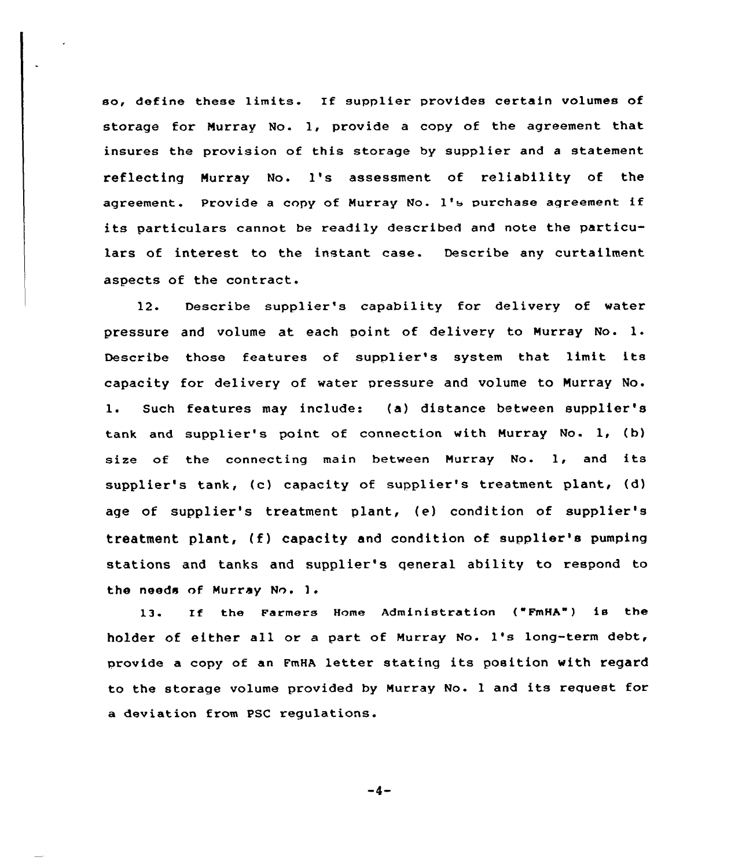so, define these limits. If supplier provides certain volumes of storage for Murray No. 1, provide a copy of the agreement that insures the provision of this storage by supplier and a statement reflecting Murray No. 1's assessment of reliability of the agreement. Provide <sup>a</sup> copy of Murray No. 1's purchase aqreement if its paxticulars cannot be readily described and note the particulars of interest to the instant case. Describe any curtailment aspects of the contract.

12. Describe supplier's capability for delivery of water pressure and volume at each point of delivery to Murray No. 1. Describe those features of supplier's system that limit its capacity for delivery of water pressure and volume to Murray No. l. Such features may include: (a) distance between supplier's tank and supplier's point of connection with Murray No- 1, (b) size of the connecting main between Murray No. 1, and its supplier's tank, (c) capacity of supplier's treatment plant, (d) age of supplier's treatment plant, (e) condition of supplier's treatment plant, (f) capacity and condition of supplier's pumping stations and tanks and supplier's qeneral ability to respond to the needs of Murray No. ).

13. If the Farmers Home Administration {"FmHA" ) is the holder of either all or a part of Murray No. 1's long-term debt, provide <sup>a</sup> copy of an FmHA letter stating its position with regard to the storage volume provided by Muxray No. <sup>1</sup> and its request for a deviaticn from PSC regulations.

 $-4-$